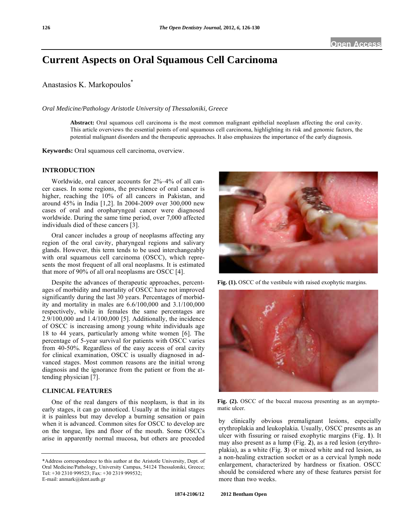# **Current Aspects on Oral Squamous Cell Carcinoma**

Anastasios K. Markopoulos<sup>\*</sup>

*Oral Medicine/Pathology Aristotle University of Thessaloniki, Greece* 

**Abstract:** Oral squamous cell carcinoma is the most common malignant epithelial neoplasm affecting the oral cavity. This article overviews the essential points of oral squamous cell carcinoma, highlighting its risk and genomic factors, the potential malignant disorders and the therapeutic approaches. It also emphasizes the importance of the early diagnosis.

**Keywords:** Oral squamous cell carcinoma, overview.

## **INTRODUCTION**

Worldwide, oral cancer accounts for 2%–4% of all cancer cases. In some regions, the prevalence of oral cancer is higher, reaching the 10% of all cancers in Pakistan, and around 45% in India [1,2]. In 2004-2009 over 300,000 new cases of oral and oropharyngeal cancer were diagnosed worldwide. During the same time period, over 7,000 affected individuals died of these cancers [3].

Oral cancer includes a group of neoplasms affecting any region of the oral cavity, pharyngeal regions and salivary glands. However, this term tends to be used interchangeably with oral squamous cell carcinoma (OSCC), which represents the most frequent of all oral neoplasms. It is estimated that more of 90% of all oral neoplasms are OSCC [4].

Despite the advances of therapeutic approaches, percentages of morbidity and mortality of OSCC have not improved significantly during the last 30 years. Percentages of morbidity and mortality in males are 6.6/100,000 and 3.1/100,000 respectively, while in females the same percentages are 2.9/100,000 and 1.4/100,000 [5]. Additionally, the incidence of OSCC is increasing among young white individuals age 18 to 44 years, particularly among white women [6]. The percentage of 5-year survival for patients with OSCC varies from 40-50%. Regardless of the easy access of oral cavity for clinical examination, OSCC is usually diagnosed in advanced stages. Most common reasons are the initial wrong diagnosis and the ignorance from the patient or from the attending physician [7].

#### **CLINICAL FEATURES**

One of the real dangers of this neoplasm, is that in its early stages, it can go unnoticed. Usually at the initial stages it is painless but may develop a burning sensation or pain when it is advanced. Common sites for OSCC to develop are on the tongue, lips and floor of the mouth. Some OSCCs arise in apparently normal mucosa, but others are preceded



Fig. (1). OSCC of the vestibule with raised exophytic margins.



Fig. (2). OSCC of the buccal mucosa presenting as an asymptomatic ulcer.

by clinically obvious premalignant lesions, especially erythroplakia and leukoplakia. Usually, OSCC presents as an ulcer with fissuring or raised exophytic margins (Fig. **1**). It may also present as a lump (Fig. **2**), as a red lesion (erythroplakia), as a white (Fig. **3**) or mixed white and red lesion, as a non-healing extraction socket or as a cervical lymph node enlargement, characterized by hardness or fixation. OSCC should be considered where any of these features persist for more than two weeks.

<sup>\*</sup>Address correspondence to this author at the Aristotle University, Dept. of Oral Medicine/Pathology, University Campus, 54124 Thessaloniki, Greece; Tel: +30 2310 999523; Fax: +30 2319 999532; E-mail: anmark@dent.auth.gr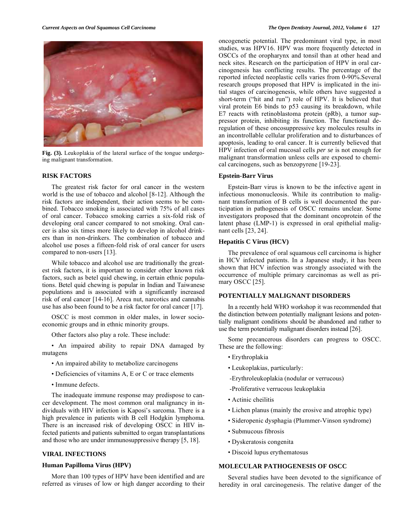

**Fig. (3).** Leukoplakia of the lateral surface of the tongue undergoing malignant transformation.

#### **RISK FACTORS**

The greatest risk factor for oral cancer in the western world is the use of tobacco and alcohol [8-12]. Although the risk factors are independent, their action seems to be combined. Tobacco smoking is associated with 75% of all cases of oral cancer. Tobacco smoking carries a six-fold risk of developing oral cancer compared to not smoking. Oral cancer is also six times more likely to develop in alcohol drinkers than in non-drinkers. The combination of tobacco and alcohol use poses a fifteen-fold risk of oral cancer for users compared to non-users [13].

While tobacco and alcohol use are traditionally the greatest risk factors, it is important to consider other known risk factors, such as betel quid chewing, in certain ethnic populations. Betel quid chewing is popular in Indian and Taiwanese populations and is associated with a significantly increased risk of oral cancer [14-16]. Areca nut, narcotics and cannabis use has also been found to be a risk factor for oral cancer [17].

OSCC is most common in older males, in lower socioeconomic groups and in ethnic minority groups.

Other factors also play a role. These include:

• An impaired ability to repair DNA damaged by mutagens

- An impaired ability to metabolize carcinogens
- Deficiencies of vitamins A, E or C or trace elements
- Immune defects.

The inadequate immune response may predispose to cancer development. The most common oral malignancy in individuals with HIV infection is Kaposi's sarcoma. There is a high prevalence in patients with B cell Hodgkin lymphoma. There is an increased risk of developing OSCC in HIV infected patients and patients submitted to organ transplantations and those who are under immunosuppressive therapy [5, 18].

# **VIRAL INFECTIONS**

## **Human Papilloma Virus (HPV)**

More than 100 types of HPV have been identified and are referred as viruses of low or high danger according to their oncogenetic potential. The predominant viral type, in most studies, was HPV16. HPV was more frequently detected in OSCCs of the oropharynx and tonsil than at other head and neck sites. Research on the participation of HPV in oral carcinogenesis has conflicting results. The percentage of the reported infected neoplastic cells varies from 0-90%.Several research groups proposed that HPV is implicated in the ini-

tial stages of carcinogenesis, while others have suggested a short-term ("hit and run") role of HPV. It is believed that viral protein E6 binds to p53 causing its breakdown, while E7 reacts with retinoblastoma protein (pRb), a tumor suppressor protein, inhibiting its function. The functional deregulation of these oncosuppressive key molecules results in an incontrollable cellular proliferation and to disturbances of apoptosis, leading to oral cancer. It is currently believed that HPV infection of oral mucosal cells *per se* is not enough for malignant transformation unless cells are exposed to chemical carcinogens, such as benzopyrene [19-23].

## **Epstein-Barr Virus**

Epstein-Barr virus is known to be the infective agent in infectious mononucleosis. While its contribution to malignant transformation of B cells is well documented the participation in pathogenesis of OSCC remains unclear. Some investigators proposed that the dominant oncoprotein of the latent phase (LMP-1) is expressed in oral epithelial malignant cells [23, 24].

## **Hepatitis C Virus (HCV)**

The prevalence of oral squamous cell carcinoma is higher in HCV infected patients. In a Japanese study, it has been shown that HCV infection was strongly associated with the occurrence of multiple primary carcinomas as well as primary OSCC [25].

#### **POTENTIALLY MALIGNANT DISORDERS**

In a recently held WHO workshop it was recommended that the distinction between potentially malignant lesions and potentially malignant conditions should be abandoned and rather to use the term potentially malignant disorders instead [26].

Some precancerous disorders can progress to OSCC. These are the following:

- Erythroplakia
- Leukoplakias, particularly:
- -Erythroleukoplakia (nodular or verrucous)
- -Proliferative verrucous leukoplakia
- Actinic cheilitis
- Lichen planus (mainly the erosive and atrophic type)
- Sideropenic dysphagia (Plummer-Vinson syndrome)
- Submucous fibrosis
- Dyskeratosis congenita
- Discoid lupus erythematosus

# **MOLECULAR PATHOGENESIS OF OSCC**

Several studies have been devoted to the significance of heredity in oral carcinogenesis. The relative danger of the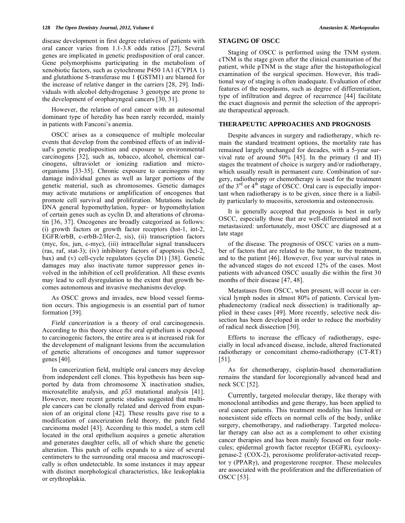disease development in first degree relatives of patients with oral cancer varies from 1.1-3.8 odds ratios [27]. Several genes are implicated in genetic predisposition of oral cancer. Gene polymorphisms participating in the metabolism of xenobiotic factors, such as cytochrome P450 1A1 (CYPIA 1) and glutathione S-transferase mu 1 **(**GSTM1) are blamed for the increase of relative danger in the carriers [28, 29]. Individuals with alcohol dehydrogenase 3 genotype are prone to the development of oropharyngeal cancers [30, 31].

However, the relation of oral cancer with an autosomal dominant type of heredity has been rarely recorded, mainly in patients with Fanconi's anemia.

OSCC arises as a consequence of multiple molecular events that develop from the combined effects of an individual's genetic predisposition and exposure to environmental carcinogens [32], such as, tobacco, alcohol, chemical carcinogens, ultraviolet or ionizing radiation and microorganisms [33-35]. Chronic exposure to carcinogens may damage individual genes as well as larger portions of the genetic material, such as chromosomes. Genetic damages may activate mutations or amplification of oncogenes that promote cell survival and proliferation. Mutations include DNA general hypomethylation, hyper- or hypomethylation of certain genes such as cyclin D, and alterations of chromatin [36, 37]. Oncogenes are broadly categorized as follows: (i) growth factors or growth factor receptors (hst-1, int-2, EGFR/erbB, c-erbB-2/Her-2, sis), (ii) transcription factors (myc, fos, jun, c-myc), (iii) intracellular signal transducers (ras, raf, stat-3); (iv) inhibitory factors of apoptosis (bcl-2, bax) and (v) cell-cycle regulators (cyclin D1) [38]. Genetic damages may also inactivate tumor suppressor genes involved in the inhibition of cell proliferation. All these events may lead to cell dysregulation to the extent that growth becomes autonomous and invasive mechanisms develop.

As OSCC grows and invades, new blood vessel formation occurs. This angiogenesis is an essential part of tumor formation [39].

*Field cancerization* is a theory of oral carcinogenesis. According to this theory since the oral epithelium is exposed to carcinogenic factors, the entire area is at increased risk for the development of malignant lesions from the accumulation of genetic alterations of oncogenes and tumor suppressor genes [40].

In cancerization field, multiple oral cancers may develop from independent cell clones. This hypothesis has been supported by data from chromosome X inactivation studies, microsatellite analysis, and *p53* mutational analysis [41]. However, more recent genetic studies suggested that multiple cancers can be clonally related and derived from expansion of an original clone [42]. These results gave rise to a modification of cancerization field theory, the patch field carcinoma model [43]. According to this model, a stem cell located in the oral epithelium acquires a genetic alteration and generates daughter cells, all of which share the genetic alteration. This patch of cells expands to a size of several centimeters to the surrounding oral mucosa and macroscopically is often undetectable. In some instances it may appear with distinct morphological characteristics, like leukoplakia or erythroplakia.

# **STAGING OF OSCC**

Staging of OSCC is performed using the TNM system. cTNM is the stage given after the clinical examination of the patient, while pTNM is the stage after the histopathological examination of the surgical specimen. However, this traditional way of staging is often inadequate. Evaluation of other features of the neoplasms, such as degree of differentiation, type of infiltration and degree of recurrence [44] facilitate the exact diagnosis and permit the selection of the appropriate therapeutical approach.

# **THERAPEUTIC APPROACHES AND PROGNOSIS**

Despite advances in surgery and radiotherapy, which remain the standard treatment options, the mortality rate has remained largely unchanged for decades, with a 5-year survival rate of around 50% [45]. In the primary (I and II) stages the treatment of choice is surgery and/or radiotherapy, which usually result in permanent cure. Combination of surgery, radiotherapy or chemotherapy is used for the treatment of the  $3<sup>rd</sup>$  or  $4<sup>th</sup>$  stage of OSCC. Oral care is especially important when radiotherapy is to be given, since there is a liability particularly to mucositis, xerostomia and osteonecrosis.

It is generally accepted that prognosis is best in early OSCC, especially those that are well-differentiated and not metastasized: unfortunately, most OSCC are diagnosed at a late stage

of the disease. The prognosis of OSCC varies on a number of factors that are related to the tumor, to the treatment, and to the patient [46]. However, five year survival rates in the advanced stages do not exceed 12% of the cases. Most patients with advanced OSCC usually die within the first 30 months of their disease [47, 48].

Metastases from OSCC, when present, will occur in cervical lymph nodes in almost 80% of patients. Cervical lymphadenectomy (radical neck dissection) is traditionally applied in these cases [49]. More recently, selective neck dissection has been developed in order to reduce the morbidity of radical neck dissection [50].

Efforts to increase the efficacy of radiotherapy, especially in local advanced disease, include, altered fractionated radiotherapy or concomitant chemo-radiotherapy (CT-RT) [51].

As for chemotherapy, cisplatin-based chemoradiation remains the standard for locoregionally advanced head and neck SCC [52].

Currently, targeted molecular therapy, like therapy with monoclonal antibodies and gene therapy, has been applied to oral cancer patients. This treatment modality has limited or nonexistent side effects on normal cells of the body, unlike surgery, chemotherapy, and radiotherapy. Targeted molecular therapy can also act as a complement to other existing cancer therapies and has been mainly focused on four molecules; epidermal growth factor receptor (EGFR), cyclooxygenase-2 (COX-2), peroxisome proliferator-activated receptor  $\gamma$  (PPAR $\gamma$ ), and progesterone receptor. These molecules are associated with the proliferation and the differentiation of OSCC [53].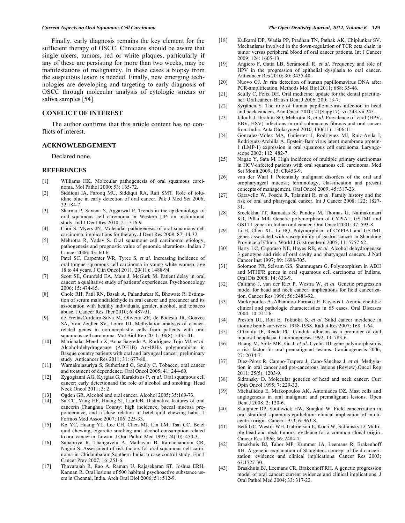Finally, early diagnosis remains the key element for the sufficient therapy of OSCC. Clinicians should be aware that single ulcers, tumors, red or white plaques, particularly if any of these are persisting for more than two weeks, may be manifestations of malignancy. In these cases a biopsy from the suspicious lesion is needed. Finally, new emerging technologies are developing and targeting to early diagnosis of OSCC through molecular analysis of cytologic smears or saliva samples [54].

# **CONFLICT OF INTEREST**

The author confirms that this article content has no conflicts of interest.

## **ACKNOWLEDGEMENT**

Declared none.

#### **REFERENCES**

- [1] Williams HK. Molecular pathogenesis of oral squamous carcinoma*.* Mol Pathol 2000; 53: 165-72.
- [2] Siddiqui IA, Farooq MU, Siddiqui RA, Rafi SMT. Role of toluidine blue in early detection of oral cancer. Pak J Med Sci 2006; 22:184-7.
- [3] Sharma P, Saxena S, Aggarwal P. Trends in the epidemiology of oral squamous cell carcinoma in Western UP: an institutional study. Ind J Dent Res 2010; 21: 316-9.
- [4] Choi S, Myers JN. Molecular pathogenesis of oral squamous cell carcinoma: implications for therapy*.* J Dent Re*s* 2008; 87: 14-32.
- [5] Mehrotra R, Yadav S. Oral squamous cell carcinoma: etiology, pathogenesis and prognostic value of genomic alterations. Indian J Cancer 2006; 43: 60-6.
- [6] Patel SC, Carpenter WR, Tyree S, *et al*. Increasing incidence of oral tongue squamous cell carcinoma in young white women, age 18 to 44 years. J Clin Oncol 2011; 29(11): 1488-94.
- [7] Scott SE, Grunfeld EA, Main J, McGurk M. Patient delay in oral cancer: a qualitative study of patients' experiences*.* Psychooncology 2006; 15: 474-85.
- [8] Chole RH, Patil RN, Basak A, Palandurkar K, Bhowate R. Estimation of serum malondialdehyde in oral cancer and precancer and its association with healthy individuals, gender, alcohol, and tobacco abuse. J Cancer Res Ther 2010; 6: 487-91.
- [9] de FreitasCordeiro-Silva M, Oliveira ZF, de Podestá JR, Gouvea SA, Von Zeidler SV, Louro ID. Methylation analysis of cancerrelated genes in non-neoplastic cells from patients with oral squamous cell carcinoma. Mol Biol Rep 2011; 38(8): 5435-41.
- [10] Marichalar-Mendia X, Acha-Sagredo A, Rodriguez-Tojo MJ, *et al*. Alcohol-dehydrogenase (ADH1B) Arg48His polymorphism in Basque country patients with oral and laryngeal cancer: preliminary study. Anticancer Res 2011; 31: 677-80.
- [11] Warnakulasuriya S, Sutherland G, Scully C. Tobacco, oral cancer and treatment of dependence. Oral Oncol 2005; 41: 244-60.
- [12] Zygogianni AG, Kyrgias G, Karakitsos P, *et al*. Oral squamous cell cancer: early detectionand the role of alcohol and smoking. Head Neck Oncol 2011; 3: 2.
- [13] Ogden GR. Alcohol and oral cancer. Alcohol 2005; 35:169-73.
- [14] Su CC, Yang HF, Huang SJ, LianIeB. Distinctive features of oral cancerin Changhua County: high incidence, buccal mucosa preponderance, and a close relation to betel quid chewing habit. J Formos Med Assoc 2007; 106: 225-33.
- [15] Ko YC, Huang YL, Lee CH, Chen MJ, Lin LM, Tsai CC. Betel quid chewing, cigarette smoking and alcohol consumption related to oral cancer in Taiwan. J Oral Pathol Med 1995; 24(10): 450-3.
- [16] Subapriya R, Thangavelu A, Mathavan B, Ramachandran CR, Nagini S. Assessment of risk factors for oral squamous cell carcinoma in Chidambaram,Southern India: a case-control study. Eur J Cancer Prev 2007; 16: 251-6.
- [17] Thavarajah R, Rao A, Raman U, Rajasekaran ST, Joshua ERH, Kannan R. Oral lesions of 500 habitual psychoactive substance users in Chennai, India. Arch Oral Biol 2006; 51: 512-9.
- [18] Kulkarni DP, Wadia PP, Pradhan TN, Pathak AK, Chiplunkar SV. Mechanisms involved in the down-regulation of TCR zeta chain in tumor versus peripheral blood of oral cancer patients. Int J Cancer 2009; 124: 1605-13.
- [19] Angiero F, Gatta LB, Seramondi R, *et al*. Frequency and role of HPV in the progression of epithelial dysplasia to oral cancer. Anticancer Res 2010; 30: 3435-40.
- [20] Nuovo GJ. *In situ* detection of human papillomavirus DNA after PCR-amplification. Methods Mol Biol 2011; 688: 35-46.
- [21] Scully C, Felix DH. Oral medicine: update for the dental practitioner. Oral cancer. British Dent J 2006; 200: 13-7.
- [22] Syrjänen S. The role of human papillomavirus infection in head and neck cancers. Ann Oncol 2010; 21(Suppl 7): vii 243-vii 245.
- [23] Jalouli J, Ibrahim SO, Mehrotra R, *et al*. Prevalence of viral (HPV, EBV, HSV) infections in oral submucous fibrosis and oral cancer from India. Acta Otolaryngol 2010; 130(11): 1306-11.
- [24] Gonzalez-Molez MA, Gutierrez J, Rodriguez MJ, Ruiz-Avila I, Rodriguez-Archilla A. Epstein-Barr virus latent membrane protein-1 (LMP-1) expression in oral squamous cell carcinoma. Laryngoscope 2002; 112: 482-7.
- [25] Nagao Y, Sata M. High incidence of multiple primary carcinomas in HCV-infected patients with oral squamous cell carcinoma. Med Sci Monit 2009; 15: CR453-9.
- [26] van der Waal I. Potentially malignant disorders of the oral and oropharyngeal mucosa; terminology, classification and present concepts of management. Oral Oncol 2009; 45: 317-23.
- [27] Garavello W, Foschi R, Talamini R, *et al*. Family history and the risk of oral and pharyngeal cancer. Int J Cancer 2008; 122: 1827- 31.
- [28] Sreelekha TT, Ramadas K, Pandey M, Thomas G, Nalinakumari KR, Pillai MR. Genetic polymorphism of CYPIA1, GSTM1 and GSTT1 genes in Indian oral cancer. Oral Oncol 2001; 37: 593-8.
- [29] Li H, Chen XL, Li HQ. Polymorphism of CYPIA1 and GSTM1 genes associated with susceptibility of gastric cancer in Shandong Province of China. World J Gastroenterol 2005; 11: 5757-62.
- [30] Harty LC, Caporaso NE, Hayes RB, *et al*. Alcohol dehydrogenase 3 genotype and risk of oral cavity and pharyngeal cancers. J Natl Cancer Inst 1997; 89: 1698-705.
- [31] Solomon PR, Selvam GS, Shanmugam G. Polymorphism in ADH and MTHFR genes in oral squamous cell carcinoma of Indians. Oral Dis 2008; 14: 633-9.
- [32] Califano J, van der Riet P, Westra W, *et al*. Genetic progression model for head and neck cancer: implications for field cancerization. Cancer Res 1996; 56: 2488-92.
- [33] Markopoulos A, Albanidou-Farmaki E, Kayavis I. Actinic cheilitis: clinical and pathologic characteristics in 65 cases. Oral Diseases 2004; 10: 212-6.
- [34] Preston DL, Ron E, Tokuoka S, *et al*. Solid cancer incidence in atomic bomb survivors: 1958-1998. Radiat Res 2007; 168: 1-64.
- [35] O'Grady JF, Reade PC. Candida albicans as a promoter of oral mucosal neoplasia. Carcinogenesis 1992; 13: 783-6.
- [36] Huang M, Spitz MR, Gu J, *et al*. Cyclin D1 gene polymorphism is a risk factor for oral premalignant lesions. Carcinogenesis 2006; 27: 2034-7.
- [37] Díez-Pérez R, Campo-Trapero J, Cano-Sánchez J, *et al*. Methylation in oral cancer and pre-cancerous lesions (Review).Oncol Rep 2011; 25(5): 1203-9.
- [38] Sidransky D. Molecular genetics of head and neck cancer. Curr Opin Oncol 1995; 7: 229-33.
- [39] Michailidou E, Markopoulos AK, Antoniades DZ. Mast cells and angiogenesis in oral malignant and premalignant lesions. Open Dent J 2008; 2: 120-6.
- [40] Slaughter DP, Southwick HW, Smejkal W. Field cancerization in oral stratified squamous epithelium: clinical implication of multicentric origin. Cancer 1953; 6: 963-8.
- [41] Bedi GC, Westra WH, Gabrielson E, Koch W, Sidransky D. Multiple head and neck tumors: evidence for a common clonal origin. Cancer Res 1996; 56: 2484-7.
- [42] Braakhuis BJ, Tabor MP, Kummer JA, Leemans R, Brakenhoff RH. A genetic explanation of Slaughter's concept of field cancerization: evidence and clinical implications. Cancer Res 2003; 63:1727-30.
- [43] Braakhuis BJ, Leemans CR, Brakenhoff RH. A genetic progression model of oral cancer: current evidence and clinical implications. J Oral Pathol Med 2004; 33: 317-22.